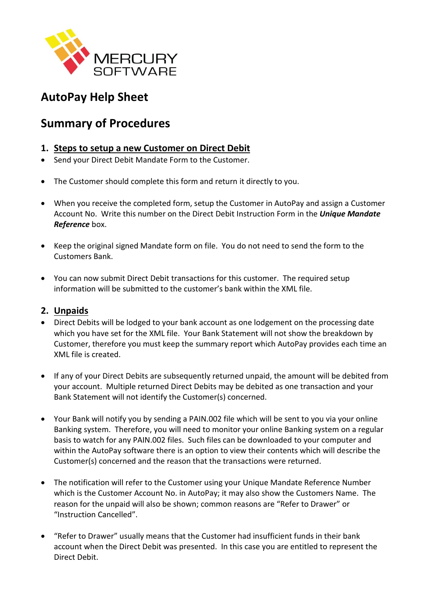

## **AutoPay Help Sheet**

## **Summary of Procedures**

## **1. Steps to setup a new Customer on Direct Debit**

- Send your Direct Debit Mandate Form to the Customer.
- The Customer should complete this form and return it directly to you.
- When you receive the completed form, setup the Customer in AutoPay and assign a Customer Account No. Write this number on the Direct Debit Instruction Form in the *Unique Mandate Reference* box.
- Keep the original signed Mandate form on file. You do not need to send the form to the Customers Bank.
- You can now submit Direct Debit transactions for this customer. The required setup information will be submitted to the customer's bank within the XML file.

## **2. Unpaids**

- Direct Debits will be lodged to your bank account as one lodgement on the processing date which you have set for the XML file. Your Bank Statement will not show the breakdown by Customer, therefore you must keep the summary report which AutoPay provides each time an XML file is created.
- If any of your Direct Debits are subsequently returned unpaid, the amount will be debited from your account. Multiple returned Direct Debits may be debited as one transaction and your Bank Statement will not identify the Customer(s) concerned.
- Your Bank will notify you by sending a PAIN.002 file which will be sent to you via your online Banking system. Therefore, you will need to monitor your online Banking system on a regular basis to watch for any PAIN.002 files. Such files can be downloaded to your computer and within the AutoPay software there is an option to view their contents which will describe the Customer(s) concerned and the reason that the transactions were returned.
- The notification will refer to the Customer using your Unique Mandate Reference Number which is the Customer Account No. in AutoPay; it may also show the Customers Name. The reason for the unpaid will also be shown; common reasons are "Refer to Drawer" or "Instruction Cancelled".
- "Refer to Drawer" usually means that the Customer had insufficient funds in their bank account when the Direct Debit was presented. In this case you are entitled to represent the Direct Debit.